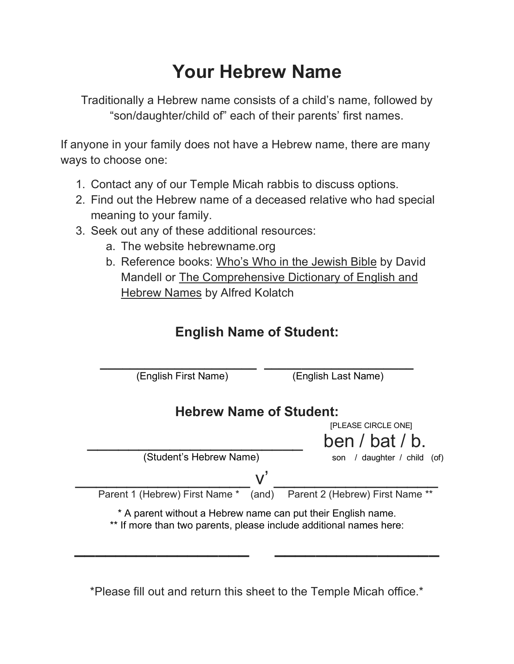## **Your Hebrew Name**

Traditionally a Hebrew name consists of a child's name, followed by "son/daughter/child of" each of their parents' first names.

If anyone in your family does not have a Hebrew name, there are many ways to choose one:

- 1. Contact any of our Temple Micah rabbis to discuss options.
- 2. Find out the Hebrew name of a deceased relative who had special meaning to your family.
- 3. Seek out any of these additional resources:
	- a. The website hebrewname.org
	- b. Reference books: Who's Who in the Jewish Bible by David Mandell or The Comprehensive Dictionary of English and Hebrew Names by Alfred Kolatch

## **English Name of Student:**



\*Please fill out and return this sheet to the Temple Micah office.\*